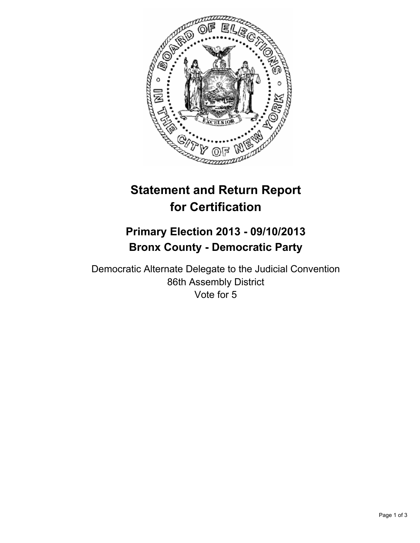

# **Statement and Return Report for Certification**

## **Primary Election 2013 - 09/10/2013 Bronx County - Democratic Party**

Democratic Alternate Delegate to the Judicial Convention 86th Assembly District Vote for 5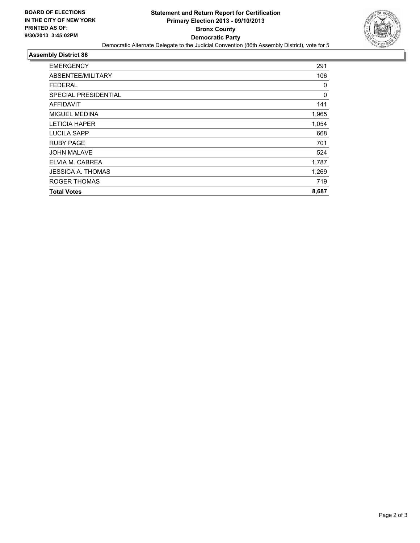

#### **Assembly District 86**

| <b>EMERGENCY</b>            | 291   |
|-----------------------------|-------|
| ABSENTEE/MILITARY           | 106   |
| <b>FEDERAL</b>              | 0     |
| <b>SPECIAL PRESIDENTIAL</b> | 0     |
| <b>AFFIDAVIT</b>            | 141   |
| <b>MIGUEL MEDINA</b>        | 1,965 |
| <b>LETICIA HAPER</b>        | 1,054 |
| LUCILA SAPP                 | 668   |
| <b>RUBY PAGE</b>            | 701   |
| <b>JOHN MALAVE</b>          | 524   |
| ELVIA M. CABREA             | 1,787 |
| JESSICA A. THOMAS           | 1,269 |
| <b>ROGER THOMAS</b>         | 719   |
| <b>Total Votes</b>          | 8,687 |
|                             |       |